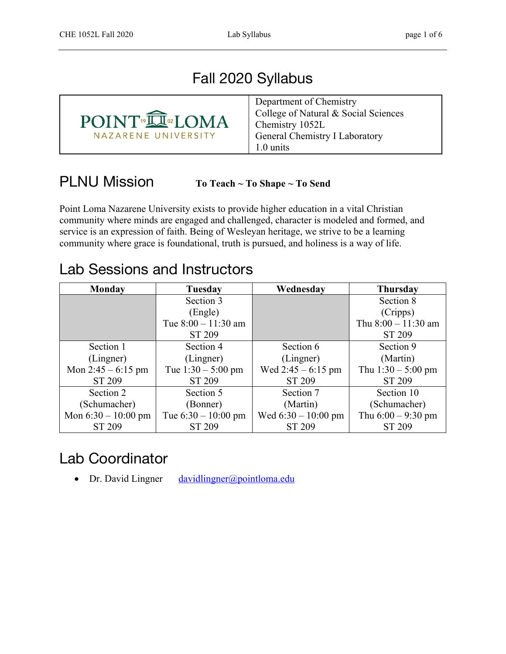# Fall 2020 Syllabus



#### PLNU Mission **To Teach ~ To Shape ~ To Send**

Point Loma Nazarene University exists to provide higher education in a vital Christian community where minds are engaged and challenged, character is modeled and formed, and service is an expression of faith. Being of Wesleyan heritage, we strive to be a learning community where grace is foundational, truth is pursued, and holiness is a way of life.

#### Lab Sessions and Instructors

| <b>Monday</b>         | Tuesday               | Wednesday             | <b>Thursday</b>       |
|-----------------------|-----------------------|-----------------------|-----------------------|
|                       | Section 3             |                       | Section 8             |
|                       | (Engle)               |                       | (Cripps)              |
|                       | Tue $8:00 - 11:30$ am |                       | Thu $8:00 - 11:30$ am |
|                       | ST 209                |                       | ST 209                |
| Section 1             | Section 4             | Section 6             | Section 9             |
| (Lingner)             | (Lingner)             | (Lingner)             | (Martin)              |
| Mon $2:45 - 6:15$ pm  | Tue $1:30 - 5:00$ pm  | Wed $2:45 - 6:15$ pm  | Thu $1:30 - 5:00$ pm  |
| ST 209                | ST 209                | ST 209                | ST 209                |
| Section 2             | Section 5             | Section 7             | Section 10            |
| (Schumacher)          | (Bonner)              | (Martin)              | (Schumacher)          |
| Mon $6:30 - 10:00$ pm | Tue $6:30 - 10:00$ pm | Wed $6:30 - 10:00$ pm | Thu $6:00 - 9:30$ pm  |
| ST 209                | ST 209                | ST 209                | ST 209                |

#### Lab Coordinator

• Dr. David Lingner davidlingner@pointloma.edu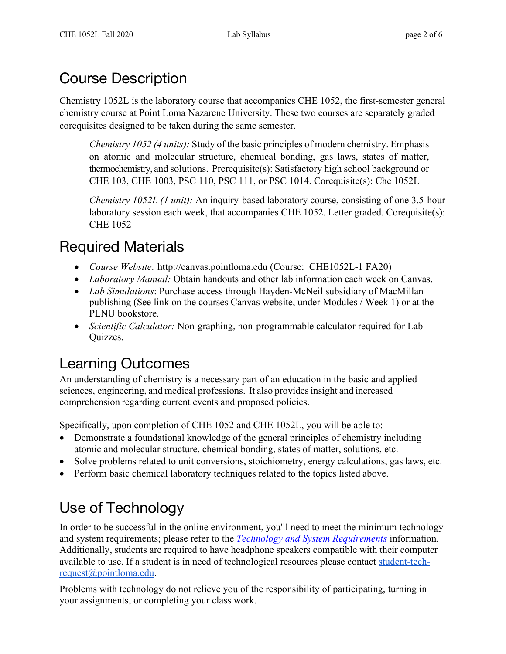# Course Description

Chemistry 1052L is the laboratory course that accompanies CHE 1052, the first-semester general chemistry course at Point Loma Nazarene University. These two courses are separately graded corequisites designed to be taken during the same semester.

*Chemistry 1052 (4 units):* Study of the basic principles of modern chemistry. Emphasis on atomic and molecular structure, chemical bonding, gas laws, states of matter, thermochemistry, and solutions. Prerequisite(s): Satisfactory high school background or CHE 103, CHE 1003, PSC 110, PSC 111, or PSC 1014. Corequisite(s): Che 1052L

*Chemistry 1052L (1 unit):* An inquiry-based laboratory course, consisting of one 3.5-hour laboratory session each week, that accompanies CHE 1052. Letter graded. Corequisite(s): CHE 1052

#### Required Materials

- *Course Website:* http://canvas.pointloma.edu (Course: CHE1052L-1 FA20)
- *Laboratory Manual:* Obtain handouts and other lab information each week on Canvas.
- *Lab Simulations*: Purchase access through Hayden-McNeil subsidiary of MacMillan publishing (See link on the courses Canvas website, under Modules / Week 1) or at the PLNU bookstore.
- *Scientific Calculator:* Non-graphing, non-programmable calculator required for Lab Quizzes.

# Learning Outcomes

An understanding of chemistry is a necessary part of an education in the basic and applied sciences, engineering, and medical professions. It also provides insight and increased comprehension regarding current events and proposed policies.

Specifically, upon completion of CHE 1052 and CHE 1052L, you will be able to:

- Demonstrate a foundational knowledge of the general principles of chemistry including atomic and molecular structure, chemical bonding, states of matter, solutions, etc.
- Solve problems related to unit conversions, stoichiometry, energy calculations, gas laws, etc.
- Perform basic chemical laboratory techniques related to the topics listed above.

# Use of Technology

In order to be successful in the online environment, you'll need to meet the minimum technology and system requirements; please refer to the *Technology and System Requirements* information. Additionally, students are required to have headphone speakers compatible with their computer available to use. If a student is in need of technological resources please contact student-techrequest@pointloma.edu.

Problems with technology do not relieve you of the responsibility of participating, turning in your assignments, or completing your class work.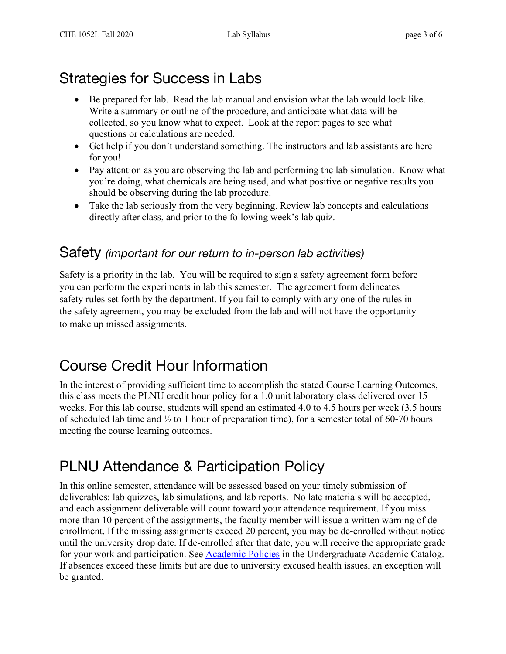## Strategies for Success in Labs

- Be prepared for lab. Read the lab manual and envision what the lab would look like. Write a summary or outline of the procedure, and anticipate what data will be collected, so you know what to expect. Look at the report pages to see what questions or calculations are needed.
- Get help if you don't understand something. The instructors and lab assistants are here for you!
- Pay attention as you are observing the lab and performing the lab simulation. Know what you're doing, what chemicals are being used, and what positive or negative results you should be observing during the lab procedure.
- Take the lab seriously from the very beginning. Review lab concepts and calculations directly after class, and prior to the following week's lab quiz.

#### Safety *(important for our return to in-person lab activities)*

Safety is a priority in the lab. You will be required to sign a safety agreement form before you can perform the experiments in lab this semester. The agreement form delineates safety rules set forth by the department. If you fail to comply with any one of the rules in the safety agreement, you may be excluded from the lab and will not have the opportunity to make up missed assignments.

## Course Credit Hour Information

In the interest of providing sufficient time to accomplish the stated Course Learning Outcomes, this class meets the PLNU credit hour policy for a 1.0 unit laboratory class delivered over 15 weeks. For this lab course, students will spend an estimated 4.0 to 4.5 hours per week (3.5 hours of scheduled lab time and  $\frac{1}{2}$  to 1 hour of preparation time), for a semester total of 60-70 hours meeting the course learning outcomes.

#### PLNU Attendance & Participation Policy

In this online semester, attendance will be assessed based on your timely submission of deliverables: lab quizzes, lab simulations, and lab reports. No late materials will be accepted, and each assignment deliverable will count toward your attendance requirement. If you miss more than 10 percent of the assignments, the faculty member will issue a written warning of deenrollment. If the missing assignments exceed 20 percent, you may be de-enrolled without notice until the university drop date. If de-enrolled after that date, you will receive the appropriate grade for your work and participation. See **Academic Policies** in the Undergraduate Academic Catalog. If absences exceed these limits but are due to university excused health issues, an exception will be granted.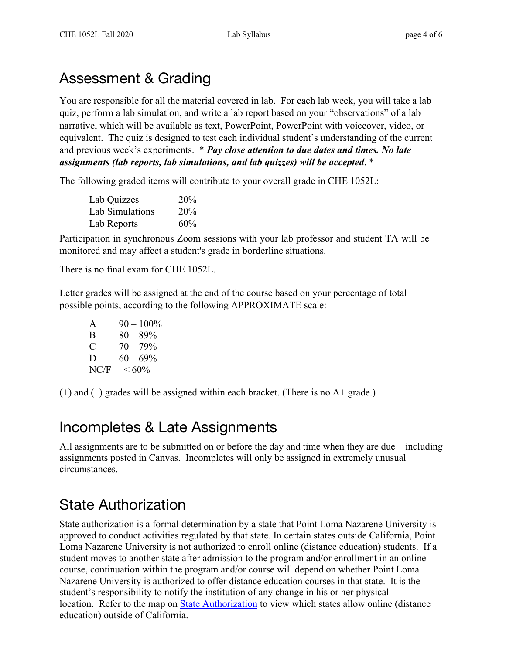#### Assessment & Grading

You are responsible for all the material covered in lab. For each lab week, you will take a lab quiz, perform a lab simulation, and write a lab report based on your "observations" of a lab narrative, which will be available as text, PowerPoint, PowerPoint with voiceover, video, or equivalent. The quiz is designed to test each individual student's understanding of the current and previous week's experiments. \* *Pay close attention to due dates and times. No late assignments (lab reports, lab simulations, and lab quizzes) will be accepted*. \*

The following graded items will contribute to your overall grade in CHE 1052L:

| Lab Quizzes     | 20% |
|-----------------|-----|
| Lab Simulations | 20% |
| Lab Reports     | 60% |

Participation in synchronous Zoom sessions with your lab professor and student TA will be monitored and may affect a student's grade in borderline situations.

There is no final exam for CHE 1052L.

Letter grades will be assigned at the end of the course based on your percentage of total possible points, according to the following APPROXIMATE scale:

| $\mathsf{A}$ | $90 - 100\%$ |
|--------------|--------------|
| B            | $80 - 89\%$  |
| C            | $70 - 79\%$  |
| D            | $60 - 69\%$  |
| NC/F         | ${}<60\%$    |

 $(+)$  and  $(-)$  grades will be assigned within each bracket. (There is no A+ grade.)

#### Incompletes & Late Assignments

All assignments are to be submitted on or before the day and time when they are due—including assignments posted in Canvas. Incompletes will only be assigned in extremely unusual circumstances.

## State Authorization

State authorization is a formal determination by a state that Point Loma Nazarene University is approved to conduct activities regulated by that state. In certain states outside California, Point Loma Nazarene University is not authorized to enroll online (distance education) students. If a student moves to another state after admission to the program and/or enrollment in an online course, continuation within the program and/or course will depend on whether Point Loma Nazarene University is authorized to offer distance education courses in that state. It is the student's responsibility to notify the institution of any change in his or her physical location. Refer to the map on **State Authorization** to view which states allow online (distance education) outside of California.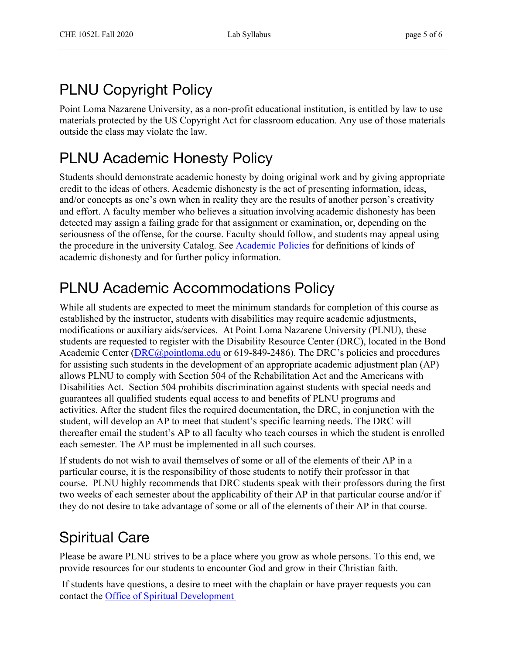## PLNU Copyright Policy

Point Loma Nazarene University, as a non-profit educational institution, is entitled by law to use materials protected by the US Copyright Act for classroom education. Any use of those materials outside the class may violate the law.

## PLNU Academic Honesty Policy

Students should demonstrate academic honesty by doing original work and by giving appropriate credit to the ideas of others. Academic dishonesty is the act of presenting information, ideas, and/or concepts as one's own when in reality they are the results of another person's creativity and effort. A faculty member who believes a situation involving academic dishonesty has been detected may assign a failing grade for that assignment or examination, or, depending on the seriousness of the offense, for the course. Faculty should follow, and students may appeal using the procedure in the university Catalog. See Academic Policies for definitions of kinds of academic dishonesty and for further policy information.

# PLNU Academic Accommodations Policy

While all students are expected to meet the minimum standards for completion of this course as established by the instructor, students with disabilities may require academic adjustments, modifications or auxiliary aids/services. At Point Loma Nazarene University (PLNU), these students are requested to register with the Disability Resource Center (DRC), located in the Bond Academic Center (DRC@pointloma.edu or 619-849-2486). The DRC's policies and procedures for assisting such students in the development of an appropriate academic adjustment plan (AP) allows PLNU to comply with Section 504 of the Rehabilitation Act and the Americans with Disabilities Act. Section 504 prohibits discrimination against students with special needs and guarantees all qualified students equal access to and benefits of PLNU programs and activities. After the student files the required documentation, the DRC, in conjunction with the student, will develop an AP to meet that student's specific learning needs. The DRC will thereafter email the student's AP to all faculty who teach courses in which the student is enrolled each semester. The AP must be implemented in all such courses.

If students do not wish to avail themselves of some or all of the elements of their AP in a particular course, it is the responsibility of those students to notify their professor in that course. PLNU highly recommends that DRC students speak with their professors during the first two weeks of each semester about the applicability of their AP in that particular course and/or if they do not desire to take advantage of some or all of the elements of their AP in that course.

## Spiritual Care

Please be aware PLNU strives to be a place where you grow as whole persons. To this end, we provide resources for our students to encounter God and grow in their Christian faith.

If students have questions, a desire to meet with the chaplain or have prayer requests you can contact the Office of Spiritual Development